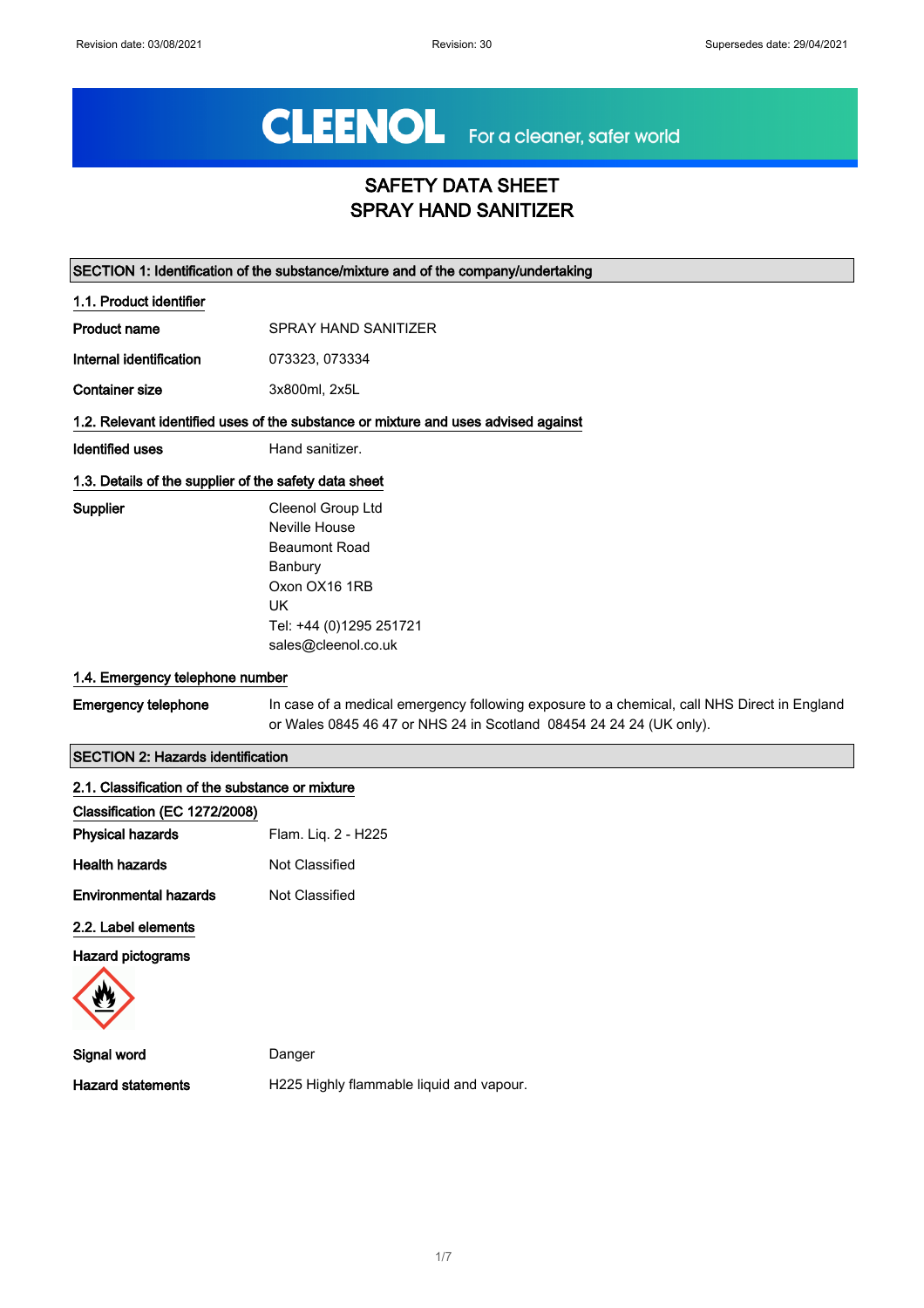# CLEENOL For a cleaner, safer world

# SAFETY DATA SHEET SPRAY HAND SANITIZER

|                                                       | SECTION 1: Identification of the substance/mixture and of the company/undertaking  |
|-------------------------------------------------------|------------------------------------------------------------------------------------|
| 1.1. Product identifier                               |                                                                                    |
| <b>Product name</b>                                   | <b>SPRAY HAND SANITIZER</b>                                                        |
| Internal identification                               | 073323, 073334                                                                     |
| <b>Container size</b>                                 | 3x800ml, 2x5L                                                                      |
|                                                       | 1.2. Relevant identified uses of the substance or mixture and uses advised against |
| Identified uses                                       | Hand sanitizer.                                                                    |
| 1.3. Details of the supplier of the safety data sheet |                                                                                    |
| Supplier                                              | Cleenol Group Ltd                                                                  |
|                                                       | Neville House                                                                      |
|                                                       | <b>Beaumont Road</b>                                                               |
|                                                       | Banbury                                                                            |
|                                                       | Oxon OX16 1RB                                                                      |
|                                                       | UK                                                                                 |
|                                                       | Tel: +44 (0)1295 251721                                                            |
|                                                       | sales@cleenol.co.uk                                                                |
| 1.4. Emergency telephone number                       |                                                                                    |
| Emergency telephone                                   | In case of a modical emergency following experience a chamical call NHS Director   |

Emergency telephone In case of a medical emergency following exposure to a chemical, call NHS Direct in England or Wales 0845 46 47 or NHS 24 in Scotland 08454 24 24 24 (UK only).

#### SECTION 2: Hazards identification

| 2.1. Classification of the substance or mixture |  |  |
|-------------------------------------------------|--|--|
|                                                 |  |  |

| Classification (EC 1272/2008) |                     |
|-------------------------------|---------------------|
| <b>Physical hazards</b>       | Flam. Lig. 2 - H225 |
| <b>Health hazards</b>         | Not Classified      |
| <b>Environmental hazards</b>  | Not Classified      |

2.2. Label elements

Hazard pictograms



Signal word Danger Hazard statements **H225 Highly flammable liquid and vapour.** 

1/ 7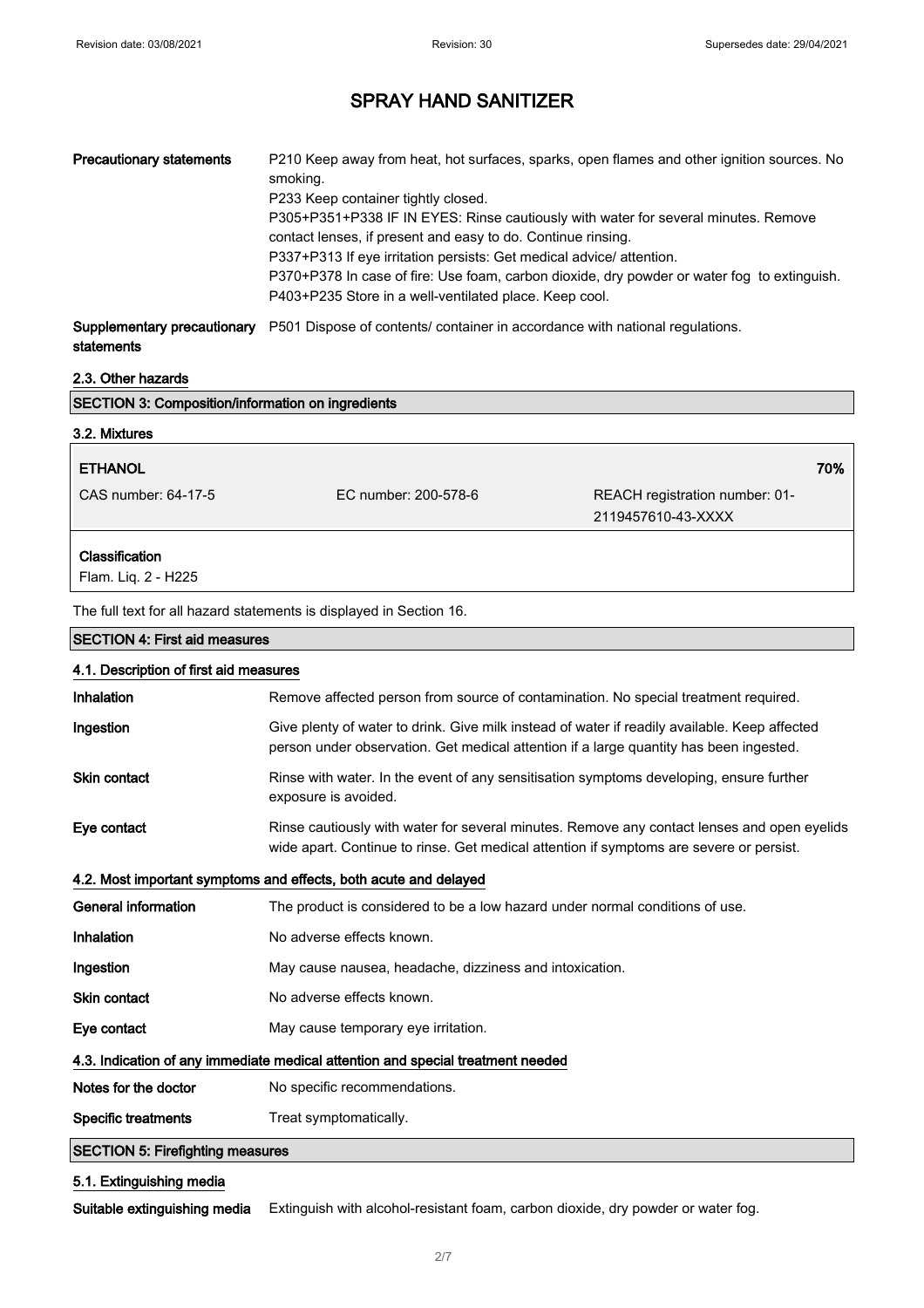| <b>Precautionary statements</b> | P210 Keep away from heat, hot surfaces, sparks, open flames and other ignition sources. No<br>smoking.<br>P233 Keep container tightly closed.<br>P305+P351+P338 IF IN EYES: Rinse cautiously with water for several minutes. Remove<br>contact lenses, if present and easy to do. Continue rinsing.<br>P337+P313 If eye irritation persists: Get medical advice/attention.<br>P370+P378 In case of fire: Use foam, carbon dioxide, dry powder or water fog to extinguish.<br>P403+P235 Store in a well-ventilated place. Keep cool. |
|---------------------------------|-------------------------------------------------------------------------------------------------------------------------------------------------------------------------------------------------------------------------------------------------------------------------------------------------------------------------------------------------------------------------------------------------------------------------------------------------------------------------------------------------------------------------------------|
| Supplementary precautionary     | P501 Dispose of contents/ container in accordance with national regulations.                                                                                                                                                                                                                                                                                                                                                                                                                                                        |

# statements 2.3. Other hazards

| SECTION 3: Composition/information on ingredients |                      |                                                      |     |
|---------------------------------------------------|----------------------|------------------------------------------------------|-----|
| 3.2. Mixtures                                     |                      |                                                      |     |
| <b>ETHANOL</b>                                    |                      |                                                      | 70% |
| CAS number: 64-17-5                               | EC number: 200-578-6 | REACH registration number: 01-<br>2119457610-43-XXXX |     |
| Classification<br>Flam. Liq. 2 - H225             |                      |                                                      |     |

The full text for all hazard statements is displayed in Section 16.

| <b>SECTION 4: First aid measures</b>                                            |                                                                                                                                                                                         |  |  |
|---------------------------------------------------------------------------------|-----------------------------------------------------------------------------------------------------------------------------------------------------------------------------------------|--|--|
| 4.1. Description of first aid measures                                          |                                                                                                                                                                                         |  |  |
| <b>Inhalation</b>                                                               | Remove affected person from source of contamination. No special treatment required.                                                                                                     |  |  |
| Ingestion                                                                       | Give plenty of water to drink. Give milk instead of water if readily available. Keep affected<br>person under observation. Get medical attention if a large quantity has been ingested. |  |  |
| <b>Skin contact</b>                                                             | Rinse with water. In the event of any sensitisation symptoms developing, ensure further<br>exposure is avoided.                                                                         |  |  |
| Eye contact                                                                     | Rinse cautiously with water for several minutes. Remove any contact lenses and open eyelids<br>wide apart. Continue to rinse. Get medical attention if symptoms are severe or persist.  |  |  |
|                                                                                 | 4.2. Most important symptoms and effects, both acute and delayed                                                                                                                        |  |  |
| <b>General information</b>                                                      | The product is considered to be a low hazard under normal conditions of use.                                                                                                            |  |  |
| Inhalation                                                                      | No adverse effects known.                                                                                                                                                               |  |  |
| Ingestion                                                                       | May cause nausea, headache, dizziness and intoxication.                                                                                                                                 |  |  |
| <b>Skin contact</b>                                                             | No adverse effects known.                                                                                                                                                               |  |  |
| Eye contact                                                                     | May cause temporary eye irritation.                                                                                                                                                     |  |  |
| 4.3. Indication of any immediate medical attention and special treatment needed |                                                                                                                                                                                         |  |  |
| Notes for the doctor                                                            | No specific recommendations.                                                                                                                                                            |  |  |
| <b>Specific treatments</b>                                                      | Treat symptomatically.                                                                                                                                                                  |  |  |
| <b>SECTION 5: Firefighting measures</b>                                         |                                                                                                                                                                                         |  |  |

#### 5.1. Extinguishing media

Suitable extinguishing media Extinguish with alcohol-resistant foam, carbon dioxide, dry powder or water fog.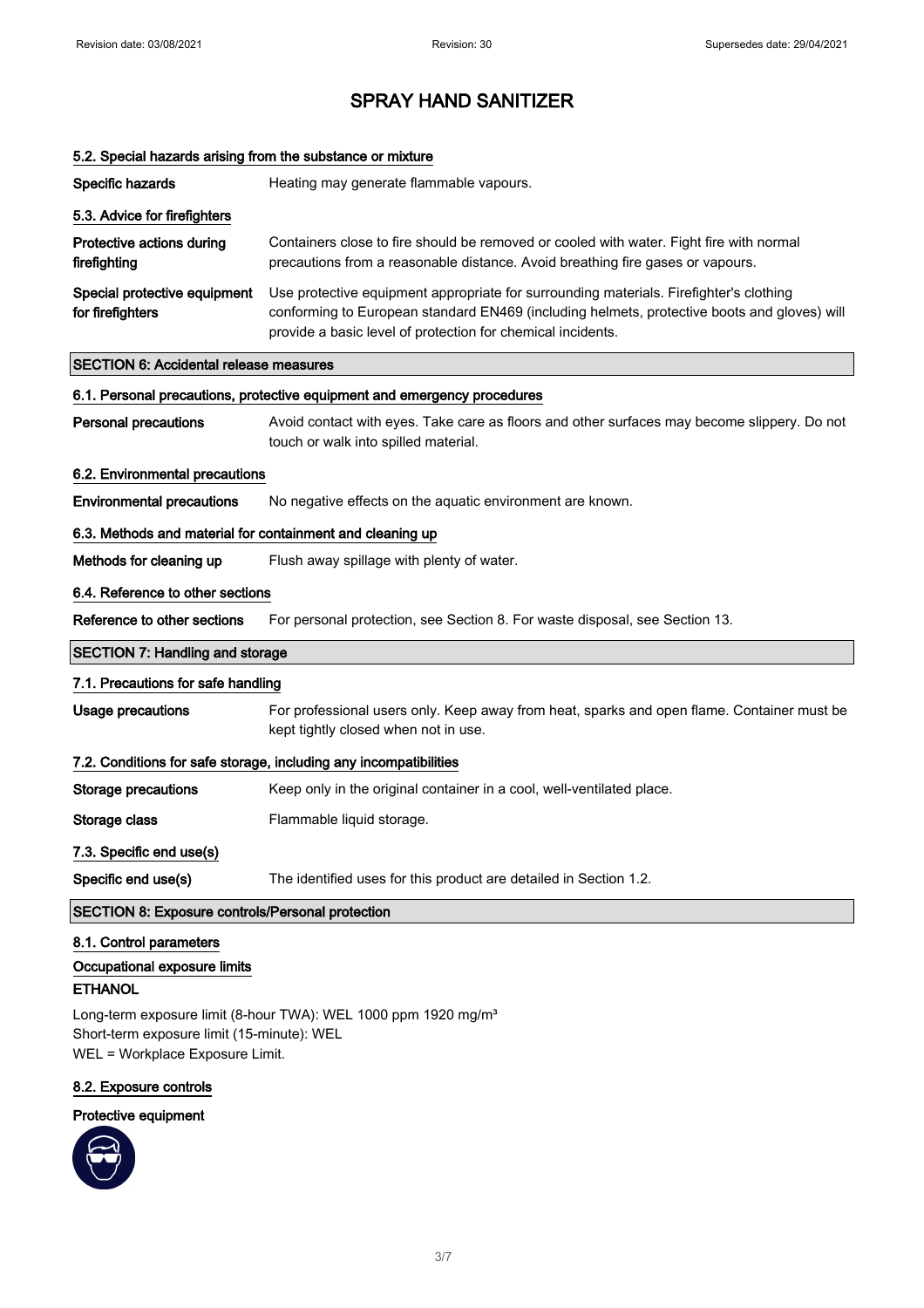| 5.2. Special hazards arising from the substance or mixture |                                                                                                                                                                                                                                                      |  |  |
|------------------------------------------------------------|------------------------------------------------------------------------------------------------------------------------------------------------------------------------------------------------------------------------------------------------------|--|--|
| Specific hazards                                           | Heating may generate flammable vapours.                                                                                                                                                                                                              |  |  |
| 5.3. Advice for firefighters                               |                                                                                                                                                                                                                                                      |  |  |
| Protective actions during<br>firefighting                  | Containers close to fire should be removed or cooled with water. Fight fire with normal<br>precautions from a reasonable distance. Avoid breathing fire gases or vapours.                                                                            |  |  |
| Special protective equipment<br>for firefighters           | Use protective equipment appropriate for surrounding materials. Firefighter's clothing<br>conforming to European standard EN469 (including helmets, protective boots and gloves) will<br>provide a basic level of protection for chemical incidents. |  |  |
| <b>SECTION 6: Accidental release measures</b>              |                                                                                                                                                                                                                                                      |  |  |
|                                                            | 6.1. Personal precautions, protective equipment and emergency procedures                                                                                                                                                                             |  |  |
| <b>Personal precautions</b>                                | Avoid contact with eyes. Take care as floors and other surfaces may become slippery. Do not<br>touch or walk into spilled material.                                                                                                                  |  |  |
| 6.2. Environmental precautions                             |                                                                                                                                                                                                                                                      |  |  |
| <b>Environmental precautions</b>                           | No negative effects on the aquatic environment are known.                                                                                                                                                                                            |  |  |
| 6.3. Methods and material for containment and cleaning up  |                                                                                                                                                                                                                                                      |  |  |
| Methods for cleaning up                                    | Flush away spillage with plenty of water.                                                                                                                                                                                                            |  |  |
| 6.4. Reference to other sections                           |                                                                                                                                                                                                                                                      |  |  |
| Reference to other sections                                | For personal protection, see Section 8. For waste disposal, see Section 13.                                                                                                                                                                          |  |  |
| <b>SECTION 7: Handling and storage</b>                     |                                                                                                                                                                                                                                                      |  |  |
| 7.1. Precautions for safe handling                         |                                                                                                                                                                                                                                                      |  |  |
| Usage precautions                                          | For professional users only. Keep away from heat, sparks and open flame. Container must be<br>kept tightly closed when not in use.                                                                                                                   |  |  |
|                                                            | 7.2. Conditions for safe storage, including any incompatibilities                                                                                                                                                                                    |  |  |
| <b>Storage precautions</b>                                 | Keep only in the original container in a cool, well-ventilated place.                                                                                                                                                                                |  |  |
| Storage class                                              | Flammable liquid storage.                                                                                                                                                                                                                            |  |  |
| 7.3. Specific end use(s)                                   |                                                                                                                                                                                                                                                      |  |  |
| Specific end use(s)                                        | The identified uses for this product are detailed in Section 1.2.                                                                                                                                                                                    |  |  |
| <b>SECTION 8: Exposure controls/Personal protection</b>    |                                                                                                                                                                                                                                                      |  |  |
| 8.1. Control parameters                                    |                                                                                                                                                                                                                                                      |  |  |
| Occupational exposure limits<br><b>ETHANOL</b>             |                                                                                                                                                                                                                                                      |  |  |
| Short-term exposure limit (15-minute): WEL                 | Long-term exposure limit (8-hour TWA): WEL 1000 ppm 1920 mg/m <sup>3</sup>                                                                                                                                                                           |  |  |

WEL = Workplace Exposure Limit.

## 8.2. Exposure controls

## Protective equipment

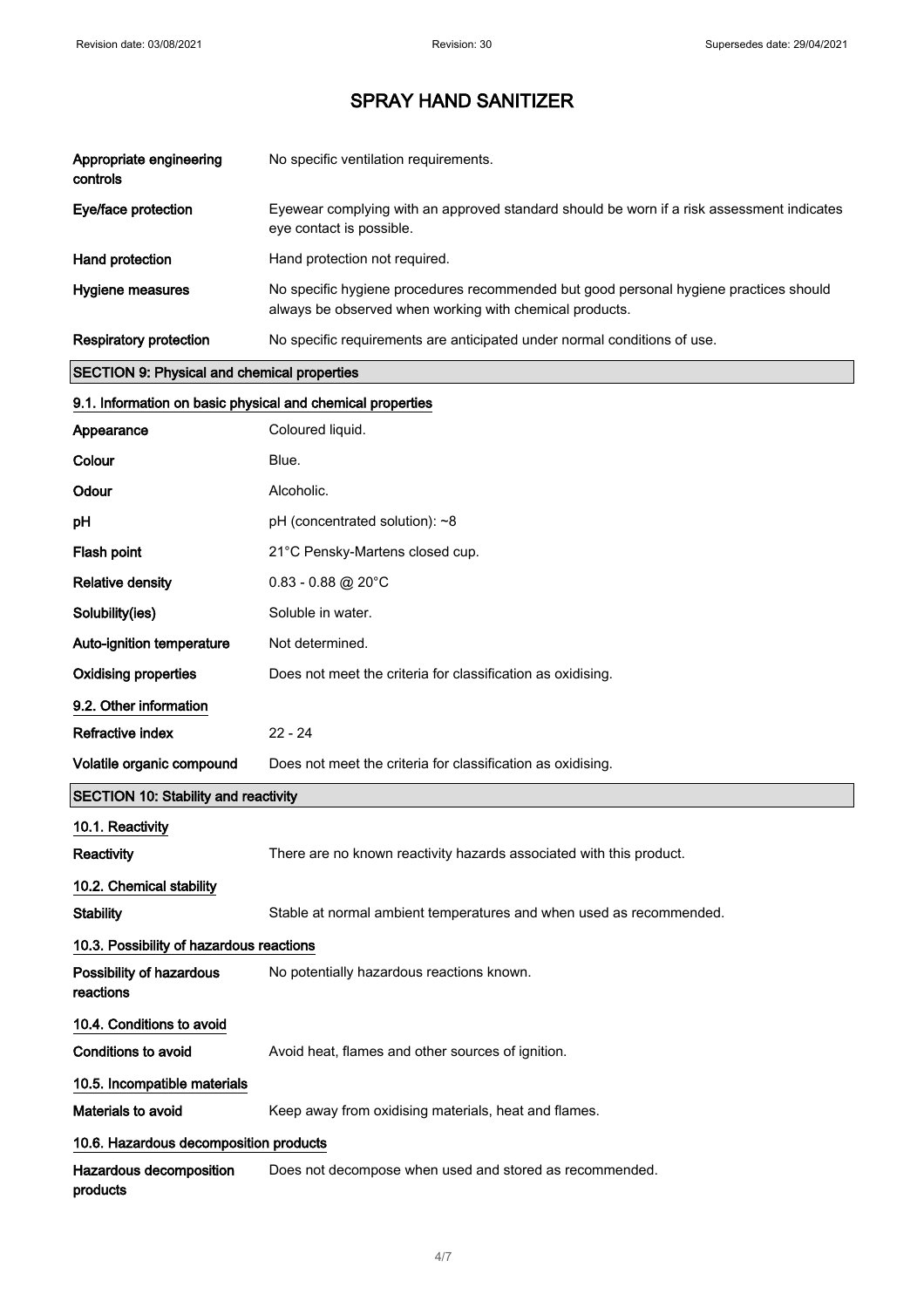| Appropriate engineering<br>controls                        | No specific ventilation requirements.                                                                                                            |
|------------------------------------------------------------|--------------------------------------------------------------------------------------------------------------------------------------------------|
| Eye/face protection                                        | Eyewear complying with an approved standard should be worn if a risk assessment indicates<br>eye contact is possible.                            |
| Hand protection                                            | Hand protection not required.                                                                                                                    |
| Hygiene measures                                           | No specific hygiene procedures recommended but good personal hygiene practices should<br>always be observed when working with chemical products. |
| <b>Respiratory protection</b>                              | No specific requirements are anticipated under normal conditions of use.                                                                         |
| <b>SECTION 9: Physical and chemical properties</b>         |                                                                                                                                                  |
| 9.1. Information on basic physical and chemical properties |                                                                                                                                                  |
| Appearance                                                 | Coloured liquid.                                                                                                                                 |
| Colour                                                     | Blue.                                                                                                                                            |
| Odour                                                      | Alcoholic.                                                                                                                                       |
| рH                                                         | pH (concentrated solution): ~8                                                                                                                   |
| Flash point                                                | 21°C Pensky-Martens closed cup.                                                                                                                  |
| <b>Relative density</b>                                    | $0.83 - 0.88$ @ 20 $^{\circ}$ C                                                                                                                  |
| Solubility(ies)                                            | Soluble in water.                                                                                                                                |
| Auto-ignition temperature                                  | Not determined.                                                                                                                                  |
| <b>Oxidising properties</b>                                | Does not meet the criteria for classification as oxidising.                                                                                      |
| 9.2. Other information                                     |                                                                                                                                                  |
| <b>Refractive index</b>                                    | $22 - 24$                                                                                                                                        |
| Volatile organic compound                                  | Does not meet the criteria for classification as oxidising.                                                                                      |
| <b>SECTION 10: Stability and reactivity</b>                |                                                                                                                                                  |
| 10.1. Reactivity                                           |                                                                                                                                                  |
| Reactivity                                                 | There are no known reactivity hazards associated with this product.                                                                              |
| 10.2. Chemical stability                                   |                                                                                                                                                  |
| <b>Stability</b>                                           | Stable at normal ambient temperatures and when used as recommended.                                                                              |
| 10.3. Possibility of hazardous reactions                   |                                                                                                                                                  |
| Possibility of hazardous<br>reactions                      | No potentially hazardous reactions known.                                                                                                        |
| 10.4. Conditions to avoid                                  |                                                                                                                                                  |
| Conditions to avoid                                        | Avoid heat, flames and other sources of ignition.                                                                                                |

10.5. Incompatible materials

Materials to avoid **Keep away from oxidising materials, heat and flames.** 

### 10.6. Hazardous decomposition products

Hazardous decomposition products Does not decompose when used and stored as recommended.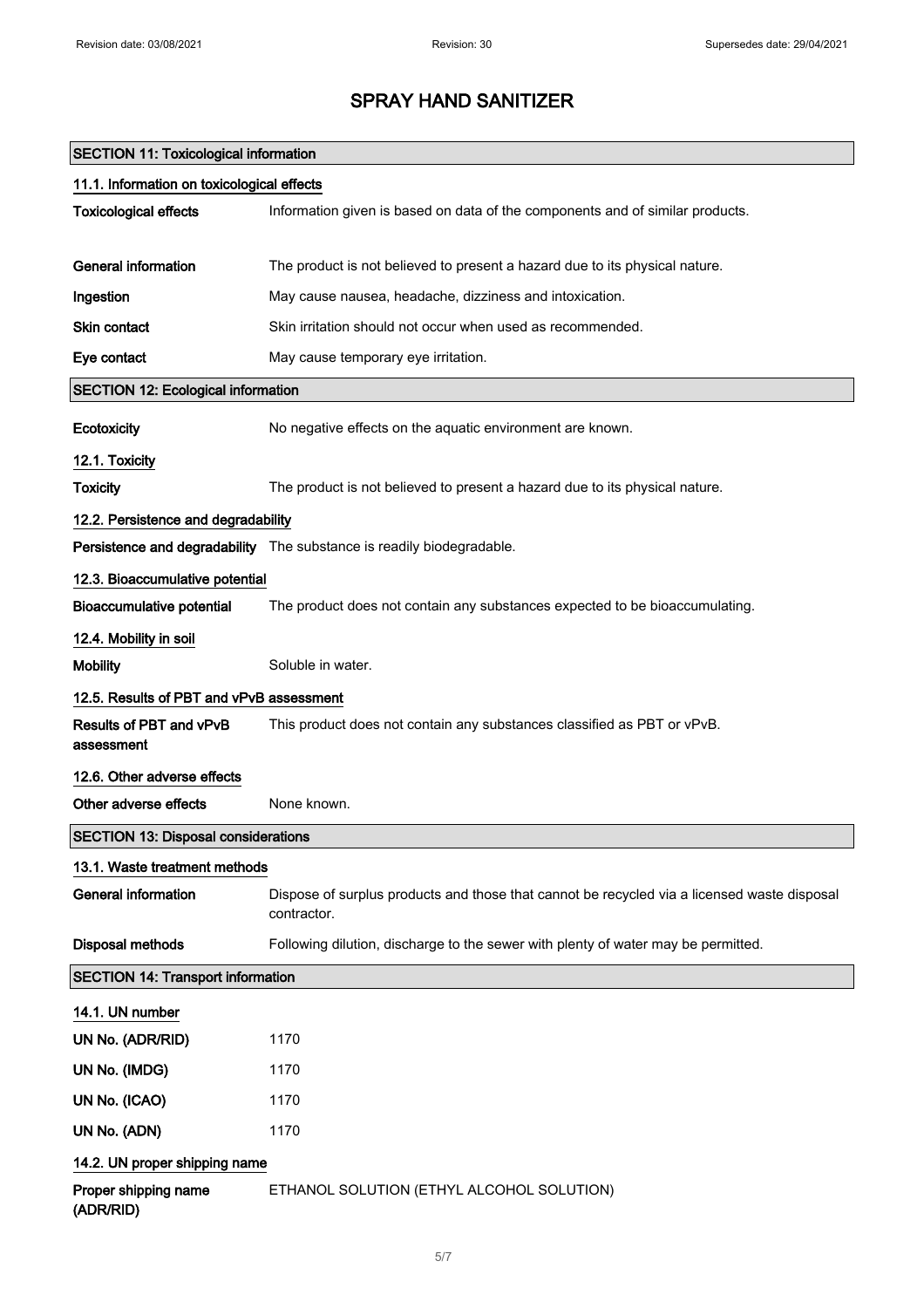# SECTION 11: Toxicological information

| 11.1. Information on toxicological effects |                                                                                                            |  |  |  |
|--------------------------------------------|------------------------------------------------------------------------------------------------------------|--|--|--|
| <b>Toxicological effects</b>               | Information given is based on data of the components and of similar products.                              |  |  |  |
|                                            |                                                                                                            |  |  |  |
| <b>General information</b>                 | The product is not believed to present a hazard due to its physical nature.                                |  |  |  |
| Ingestion                                  | May cause nausea, headache, dizziness and intoxication.                                                    |  |  |  |
| Skin contact                               | Skin irritation should not occur when used as recommended.                                                 |  |  |  |
| Eye contact                                | May cause temporary eye irritation.                                                                        |  |  |  |
| <b>SECTION 12: Ecological information</b>  |                                                                                                            |  |  |  |
| Ecotoxicity                                | No negative effects on the aquatic environment are known.                                                  |  |  |  |
| 12.1. Toxicity                             |                                                                                                            |  |  |  |
| <b>Toxicity</b>                            | The product is not believed to present a hazard due to its physical nature.                                |  |  |  |
| 12.2. Persistence and degradability        |                                                                                                            |  |  |  |
|                                            | Persistence and degradability The substance is readily biodegradable.                                      |  |  |  |
| 12.3. Bioaccumulative potential            |                                                                                                            |  |  |  |
| <b>Bioaccumulative potential</b>           | The product does not contain any substances expected to be bioaccumulating.                                |  |  |  |
| 12.4. Mobility in soil                     |                                                                                                            |  |  |  |
| <b>Mobility</b>                            | Soluble in water.                                                                                          |  |  |  |
| 12.5. Results of PBT and vPvB assessment   |                                                                                                            |  |  |  |
| Results of PBT and vPvB<br>assessment      | This product does not contain any substances classified as PBT or vPvB.                                    |  |  |  |
| 12.6. Other adverse effects                |                                                                                                            |  |  |  |
| Other adverse effects                      | None known.                                                                                                |  |  |  |
| <b>SECTION 13: Disposal considerations</b> |                                                                                                            |  |  |  |
| 13.1. Waste treatment methods              |                                                                                                            |  |  |  |
| <b>General information</b>                 | Dispose of surplus products and those that cannot be recycled via a licensed waste disposal<br>contractor. |  |  |  |
| Disposal methods                           | Following dilution, discharge to the sewer with plenty of water may be permitted.                          |  |  |  |
| <b>SECTION 14: Transport information</b>   |                                                                                                            |  |  |  |
| 14.1. UN number                            |                                                                                                            |  |  |  |
| UN No. (ADR/RID)                           | 1170                                                                                                       |  |  |  |
| UN No. (IMDG)                              | 1170                                                                                                       |  |  |  |
| UN No. (ICAO)                              | 1170                                                                                                       |  |  |  |
| UN No. (ADN)                               | 1170                                                                                                       |  |  |  |
| 14.2. UN proper shipping name              |                                                                                                            |  |  |  |
| Proper shipping name<br>(ADR/RID)          | ETHANOL SOLUTION (ETHYL ALCOHOL SOLUTION)                                                                  |  |  |  |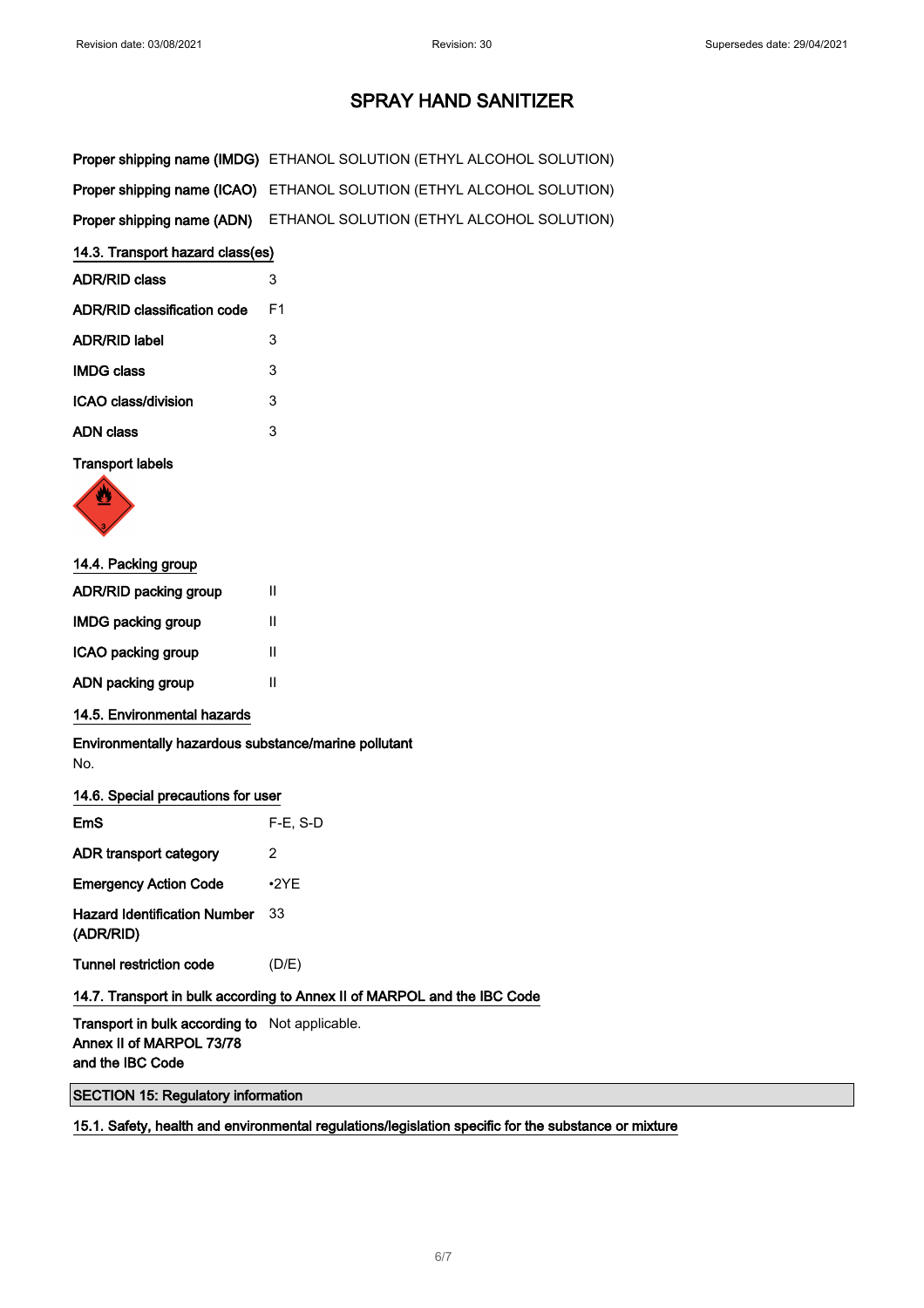| Proper shipping name (IMDG) ETHANOL SOLUTION (ETHYL ALCOHOL SOLUTION)       |
|-----------------------------------------------------------------------------|
| Proper shipping name (ICAO) ETHANOL SOLUTION (ETHYL ALCOHOL SOLUTION)       |
| <b>Proper shipping name (ADN)</b> ETHANOL SOLUTION (ETHYL ALCOHOL SOLUTION) |

#### 14.3. Transport hazard class(es)

| <b>ADR/RID class</b>        | 3  |
|-----------------------------|----|
| ADR/RID classification code | F1 |
| <b>ADR/RID label</b>        | 3  |
| <b>IMDG class</b>           | 3  |
| ICAO class/division         | 3  |
| ADN class                   | 3  |

Transport labels



| 14.4. Packing group       |   |
|---------------------------|---|
| ADR/RID packing group     | Ш |
| <b>IMDG packing group</b> | Ш |
| ICAO packing group        | Ш |
| ADN packing group         | Ш |

14.5. Environmental hazards

Environmentally hazardous substance/marine pollutant No.

### 14.6. Special precautions for user

| EmS                                                                               | F-E. S-D    |
|-----------------------------------------------------------------------------------|-------------|
| ADR transport category                                                            | 2           |
| <b>Emergency Action Code</b>                                                      | $\cdot$ 2YF |
| <b>Hazard Identification Number</b><br>(ADR/RID)                                  | -33         |
| Tunnel restriction code                                                           | (D/E)       |
| 14.7. Transport in bulk according to Annex II of MARPOL and the IBC Code          |             |
| <b>Transport in bulk according to</b> Not applicable.<br>Annex II of MARPOL 73/78 |             |

and the IBC Code

SECTION 15: Regulatory information

#### 15.1. Safety, health and environmental regulations/legislation specific for the substance or mixture